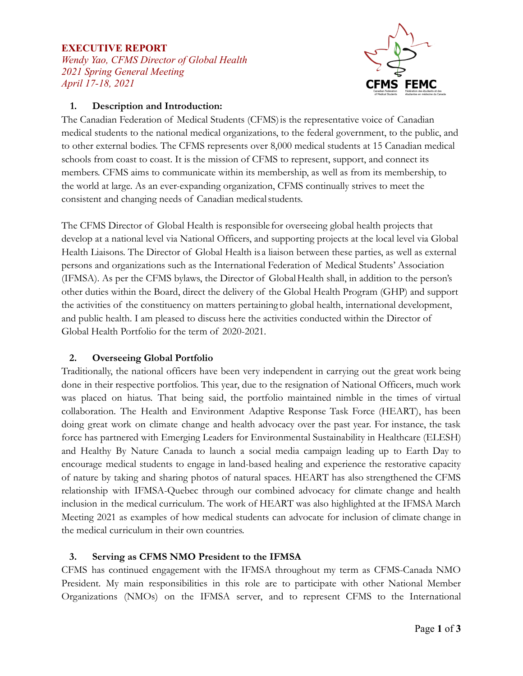### **EXECUTIVE REPORT**

*Wendy Yao, CFMS Director of Global Health 2021 Spring General Meeting April 17-18, 2021*



#### **1. Description and Introduction:**

The Canadian Federation of Medical Students (CFMS)is the representative voice of Canadian medical students to the national medical organizations, to the federal government, to the public, and to other external bodies. The CFMS represents over 8,000 medical students at 15 Canadian medical schools from coast to coast. It is the mission of CFMS to represent, support, and connect its members. CFMS aims to communicate within its membership, as well as from its membership, to the world at large. As an ever-expanding organization, CFMS continually strives to meet the consistent and changing needs of Canadian medicalstudents.

The CFMS Director of Global Health is responsible for overseeing global health projects that develop at a national level via National Officers, and supporting projects at the local level via Global Health Liaisons. The Director of Global Health is a liaison between these parties, as well as external persons and organizations such as the International Federation of Medical Students' Association (IFMSA). As per the CFMS bylaws, the Director of GlobalHealth shall, in addition to the person's other duties within the Board, direct the delivery of the Global Health Program (GHP) and support the activities of the constituency on matters pertaining to global health, international development, and public health. I am pleased to discuss here the activities conducted within the Director of Global Health Portfolio for the term of 2020-2021.

#### **2. Overseeing Global Portfolio**

Traditionally, the national officers have been very independent in carrying out the great work being done in their respective portfolios. This year, due to the resignation of National Officers, much work was placed on hiatus. That being said, the portfolio maintained nimble in the times of virtual collaboration. The Health and Environment Adaptive Response Task Force (HEART), has been doing great work on climate change and health advocacy over the past year. For instance, the task force has partnered with Emerging Leaders for Environmental Sustainability in Healthcare (ELESH) and Healthy By Nature Canada to launch a social media campaign leading up to Earth Day to encourage medical students to engage in land-based healing and experience the restorative capacity of nature by taking and sharing photos of natural spaces. HEART has also strengthened the CFMS relationship with IFMSA-Quebec through our combined advocacy for climate change and health inclusion in the medical curriculum. The work of HEART was also highlighted at the IFMSA March Meeting 2021 as examples of how medical students can advocate for inclusion of climate change in the medical curriculum in their own countries.

## **3. Serving as CFMS NMO President to the IFMSA**

CFMS has continued engagement with the IFMSA throughout my term as CFMS-Canada NMO President. My main responsibilities in this role are to participate with other National Member Organizations (NMOs) on the IFMSA server, and to represent CFMS to the International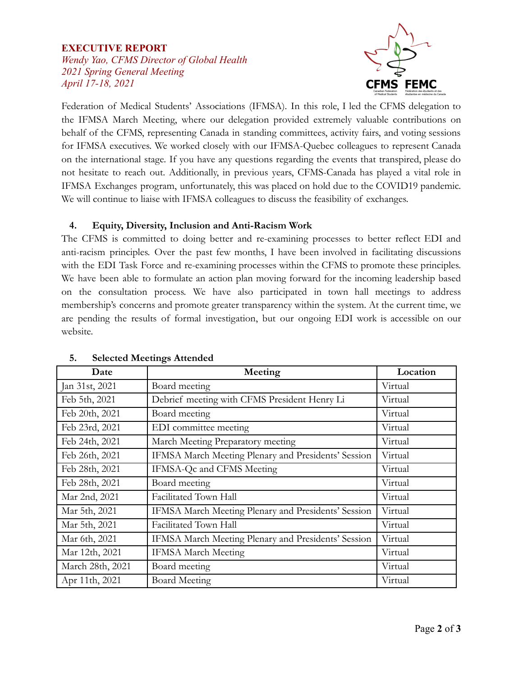## **EXECUTIVE REPORT** *Wendy Yao, CFMS Director of Global Health 2021 Spring General Meeting April 17-18, 2021*



Federation of Medical Students' Associations (IFMSA). In this role, I led the CFMS delegation to the IFMSA March Meeting, where our delegation provided extremely valuable contributions on behalf of the CFMS, representing Canada in standing committees, activity fairs, and voting sessions for IFMSA executives. We worked closely with our IFMSA-Quebec colleagues to represent Canada on the international stage. If you have any questions regarding the events that transpired, please do not hesitate to reach out. Additionally, in previous years, CFMS-Canada has played a vital role in IFMSA Exchanges program, unfortunately, this was placed on hold due to the COVID19 pandemic. We will continue to liaise with IFMSA colleagues to discuss the feasibility of exchanges.

# **4. Equity, Diversity, Inclusion and Anti-Racism Work**

The CFMS is committed to doing better and re-examining processes to better reflect EDI and anti-racism principles. Over the past few months, I have been involved in facilitating discussions with the EDI Task Force and re-examining processes within the CFMS to promote these principles. We have been able to formulate an action plan moving forward for the incoming leadership based on the consultation process. We have also participated in town hall meetings to address membership's concerns and promote greater transparency within the system. At the current time, we are pending the results of formal investigation, but our ongoing EDI work is accessible on our website.

| Date             | Meeting                                             | Location |
|------------------|-----------------------------------------------------|----------|
| Jan 31st, 2021   | Board meeting                                       | Virtual  |
| Feb 5th, 2021    | Debrief meeting with CFMS President Henry Li        | Virtual  |
| Feb 20th, 2021   | Board meeting                                       | Virtual  |
| Feb 23rd, 2021   | EDI committee meeting                               | Virtual  |
| Feb 24th, 2021   | March Meeting Preparatory meeting                   | Virtual  |
| Feb 26th, 2021   | IFMSA March Meeting Plenary and Presidents' Session | Virtual  |
| Feb 28th, 2021   | IFMSA-Qc and CFMS Meeting                           | Virtual  |
| Feb 28th, 2021   | Board meeting                                       | Virtual  |
| Mar 2nd, 2021    | Facilitated Town Hall                               | Virtual  |
| Mar 5th, 2021    | IFMSA March Meeting Plenary and Presidents' Session | Virtual  |
| Mar 5th, 2021    | Facilitated Town Hall                               | Virtual  |
| Mar 6th, 2021    | IFMSA March Meeting Plenary and Presidents' Session | Virtual  |
| Mar 12th, 2021   | <b>IFMSA March Meeting</b>                          | Virtual  |
| March 28th, 2021 | Board meeting                                       | Virtual  |
| Apr 11th, 2021   | <b>Board Meeting</b>                                | Virtual  |

## **5. Selected Meetings Attended**